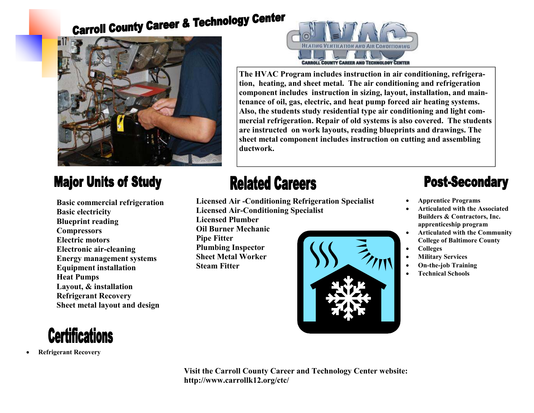# **Carroll County Career & Technology Center**



#### **Major Units of Study**

 **Basic commercial refrigeration Basic electricity Blueprint reading Compressors Electric motors Electronic air-cleaning Energy management systems Equipment installation Heat Pumps Layout, & installation Refrigerant RecoverySheet metal layout and design**



• **Refrigerant Recovery**



**The HVAC Program includes instruction in air conditioning, refrigeration, heating, and sheet metal. The air conditioning and refrigeration component includes instruction in sizing, layout, installation, and maintenance of oil, gas, electric, and heat pump forced air heating systems. Also, the students study residential type air conditioning and light commercial refrigeration. Repair of old systems is also covered. The students are instructed on work layouts, reading blueprints and drawings. The sheet metal component includes instruction on cutting and assembling ductwork.** 

## **Related Careers**

 **Licensed Air -Conditioning Refrigeration Specialist Licensed Air-Conditioning Specialist** 

 **Licensed Plumber Oil Burner Mechanic Pipe Fitter Plumbing Inspector Sheet Metal Worker Steam Fitter** 



### **Post-Secondary**

- **Apprentice Programs**
- **Articulated with the Associated Builders & Contractors, Inc. apprenticeship program**
- **Articulated with the Community College of Baltimore County**
- **Colleges**
- **Military Services**
- **On-the-job Training**
- **Technical Schools**

**Visit the Carroll County Career and Technology Center website: http://www.carrollk12.org/ctc/**